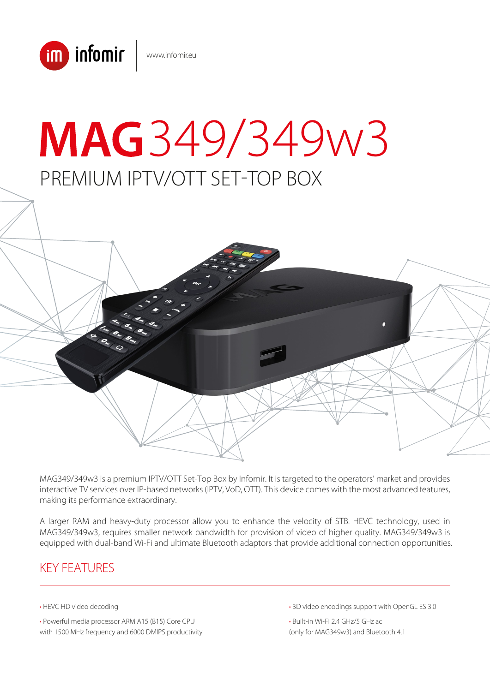

# PREMIUM IPTV/OTT SET-TOP BOX MAG349/349w3

MAG349/349w3 is a premium IPTV/OTT Set-Top Box by Infomir. It is targeted to the operators' market and provides interactive TV services over IP-based networks (IPTV, VoD, OTT). This device comes with the most advanced features, making its performance extraordinary.

A larger RAM and heavy-duty processor allow you to enhance the velocity of STB. HEVC technology, used in MAG349/349w3, requires smaller network bandwidth for provision of video of higher quality. MAG349/349w3 is equipped with dual-band Wi-Fi and ultimate Bluetooth adaptors that provide additional connection opportunities.

# KEY FEATURES

- HEVC HD video decoding
- Powerful media processor ARM A15 (B15) Core CPU with 1500 MHz frequency and 6000 DMIPS productivity

• 3D video encodings support with OpenGL ES 3.0

• Built-in Wi-Fi 2.4 GHz/5 GHz ac (only for MAG349w3) and Bluetooth 4.1